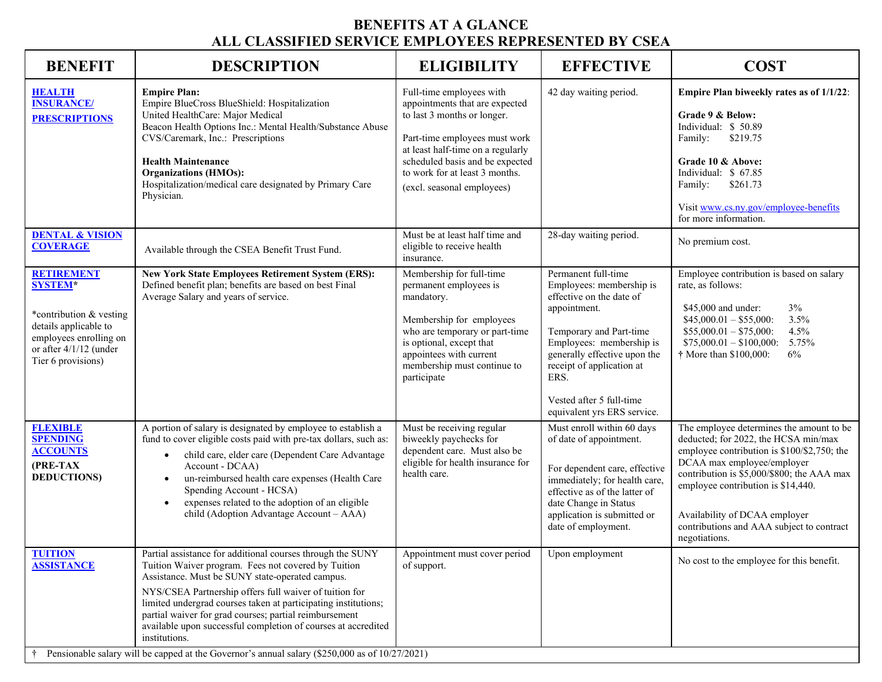## **BENEFITS AT A GLANCE ALL CLASSIFIED SERVICE EMPLOYEES REPRESENTED BY CSEA**

| <b>BENEFIT</b>                                                                                                                                                    | <b>DESCRIPTION</b>                                                                                                                                                                                                                                                                                                                                                                                                                                                                                                                             | <b>ELIGIBILITY</b>                                                                                                                                                                                                                                                 | <b>EFFECTIVE</b>                                                                                                                                                                                                                                                                   | <b>COST</b>                                                                                                                                                                                                                                                                                                                                      |
|-------------------------------------------------------------------------------------------------------------------------------------------------------------------|------------------------------------------------------------------------------------------------------------------------------------------------------------------------------------------------------------------------------------------------------------------------------------------------------------------------------------------------------------------------------------------------------------------------------------------------------------------------------------------------------------------------------------------------|--------------------------------------------------------------------------------------------------------------------------------------------------------------------------------------------------------------------------------------------------------------------|------------------------------------------------------------------------------------------------------------------------------------------------------------------------------------------------------------------------------------------------------------------------------------|--------------------------------------------------------------------------------------------------------------------------------------------------------------------------------------------------------------------------------------------------------------------------------------------------------------------------------------------------|
| <b>HEALTH</b><br><b>INSURANCE/</b><br><b>PRESCRIPTIONS</b>                                                                                                        | <b>Empire Plan:</b><br>Empire BlueCross BlueShield: Hospitalization<br>United HealthCare: Major Medical<br>Beacon Health Options Inc.: Mental Health/Substance Abuse<br>CVS/Caremark, Inc.: Prescriptions<br><b>Health Maintenance</b><br><b>Organizations (HMOs):</b><br>Hospitalization/medical care designated by Primary Care<br>Physician.                                                                                                                                                                                                | Full-time employees with<br>appointments that are expected<br>to last 3 months or longer.<br>Part-time employees must work<br>at least half-time on a regularly<br>scheduled basis and be expected<br>to work for at least 3 months.<br>(excl. seasonal employees) | 42 day waiting period.                                                                                                                                                                                                                                                             | Empire Plan biweekly rates as of 1/1/22:<br>Grade 9 & Below:<br>Individual: \$50.89<br>\$219.75<br>Family:<br>Grade 10 & Above:<br>Individual: \$ 67.85<br>\$261.73<br>Family:<br>Visit www.cs.ny.gov/employee-benefits<br>for more information.                                                                                                 |
| <b>DENTAL &amp; VISION</b><br><b>COVERAGE</b>                                                                                                                     | Available through the CSEA Benefit Trust Fund.                                                                                                                                                                                                                                                                                                                                                                                                                                                                                                 | Must be at least half time and<br>eligible to receive health<br>insurance.                                                                                                                                                                                         | 28-day waiting period.                                                                                                                                                                                                                                                             | No premium cost.                                                                                                                                                                                                                                                                                                                                 |
| <b>RETIREMENT</b><br><b>SYSTEM*</b><br>*contribution & vesting<br>details applicable to<br>employees enrolling on<br>or after 4/1/12 (under<br>Tier 6 provisions) | <b>New York State Employees Retirement System (ERS):</b><br>Defined benefit plan; benefits are based on best Final<br>Average Salary and years of service.                                                                                                                                                                                                                                                                                                                                                                                     | Membership for full-time<br>permanent employees is<br>mandatory.<br>Membership for employees<br>who are temporary or part-time<br>is optional, except that<br>appointees with current<br>membership must continue to<br>participate                                | Permanent full-time<br>Employees: membership is<br>effective on the date of<br>appointment.<br>Temporary and Part-time<br>Employees: membership is<br>generally effective upon the<br>receipt of application at<br>ERS.<br>Vested after 5 full-time<br>equivalent yrs ERS service. | Employee contribution is based on salary<br>rate, as follows:<br>$3\%$<br>\$45,000 and under:<br>$$45,000.01 - $55,000$ :<br>3.5%<br>$$55,000.01 - $75,000$ :<br>4.5%<br>$$75,000.01 - $100,000$ :<br>5.75%<br>$\dagger$ More than \$100,000:<br>6%                                                                                              |
| <b>FLEXIBLE</b><br><b>SPENDING</b><br><b>ACCOUNTS</b><br>(PRE-TAX<br><b>DEDUCTIONS</b> )                                                                          | A portion of salary is designated by employee to establish a<br>fund to cover eligible costs paid with pre-tax dollars, such as:<br>child care, elder care (Dependent Care Advantage<br>$\bullet$<br>Account - DCAA)<br>un-reimbursed health care expenses (Health Care<br>$\bullet$<br>Spending Account - HCSA)<br>expenses related to the adoption of an eligible<br>$\bullet$<br>child (Adoption Advantage Account - AAA)                                                                                                                   | Must be receiving regular<br>biweekly paychecks for<br>dependent care. Must also be<br>eligible for health insurance for<br>health care.                                                                                                                           | Must enroll within 60 days<br>of date of appointment.<br>For dependent care, effective<br>immediately; for health care,<br>effective as of the latter of<br>date Change in Status<br>application is submitted or<br>date of employment.                                            | The employee determines the amount to be<br>deducted; for 2022, the HCSA min/max<br>employee contribution is \$100/\$2,750; the<br>DCAA max employee/employer<br>contribution is \$5,000/\$800; the AAA max<br>employee contribution is \$14,440.<br>Availability of DCAA employer<br>contributions and AAA subject to contract<br>negotiations. |
| <b>TUITION</b><br><b>ASSISTANCE</b>                                                                                                                               | Partial assistance for additional courses through the SUNY<br>Tuition Waiver program. Fees not covered by Tuition<br>Assistance. Must be SUNY state-operated campus.<br>NYS/CSEA Partnership offers full waiver of tuition for<br>limited undergrad courses taken at participating institutions;<br>partial waiver for grad courses; partial reimbursement<br>available upon successful completion of courses at accredited<br>institutions.<br>Pensionable salary will be capped at the Governor's annual salary (\$250,000 as of 10/27/2021) | Appointment must cover period<br>of support.                                                                                                                                                                                                                       | Upon employment                                                                                                                                                                                                                                                                    | No cost to the employee for this benefit.                                                                                                                                                                                                                                                                                                        |